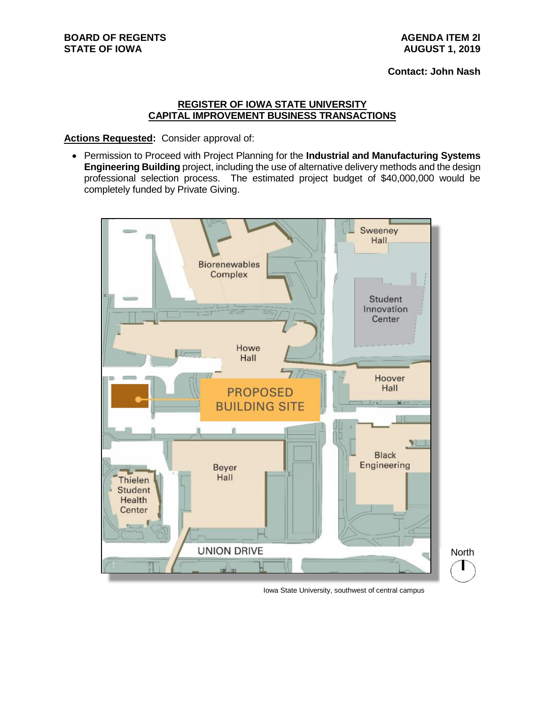## **REGISTER OF IOWA STATE UNIVERSITY CAPITAL IMPROVEMENT BUSINESS TRANSACTIONS**

**Actions Requested:** Consider approval of:

• Permission to Proceed with Project Planning for the **Industrial and Manufacturing Systems Engineering Building** project, including the use of alternative delivery methods and the design professional selection process. The estimated project budget of \$40,000,000 would be completely funded by Private Giving.



Iowa State University, southwest of central campus